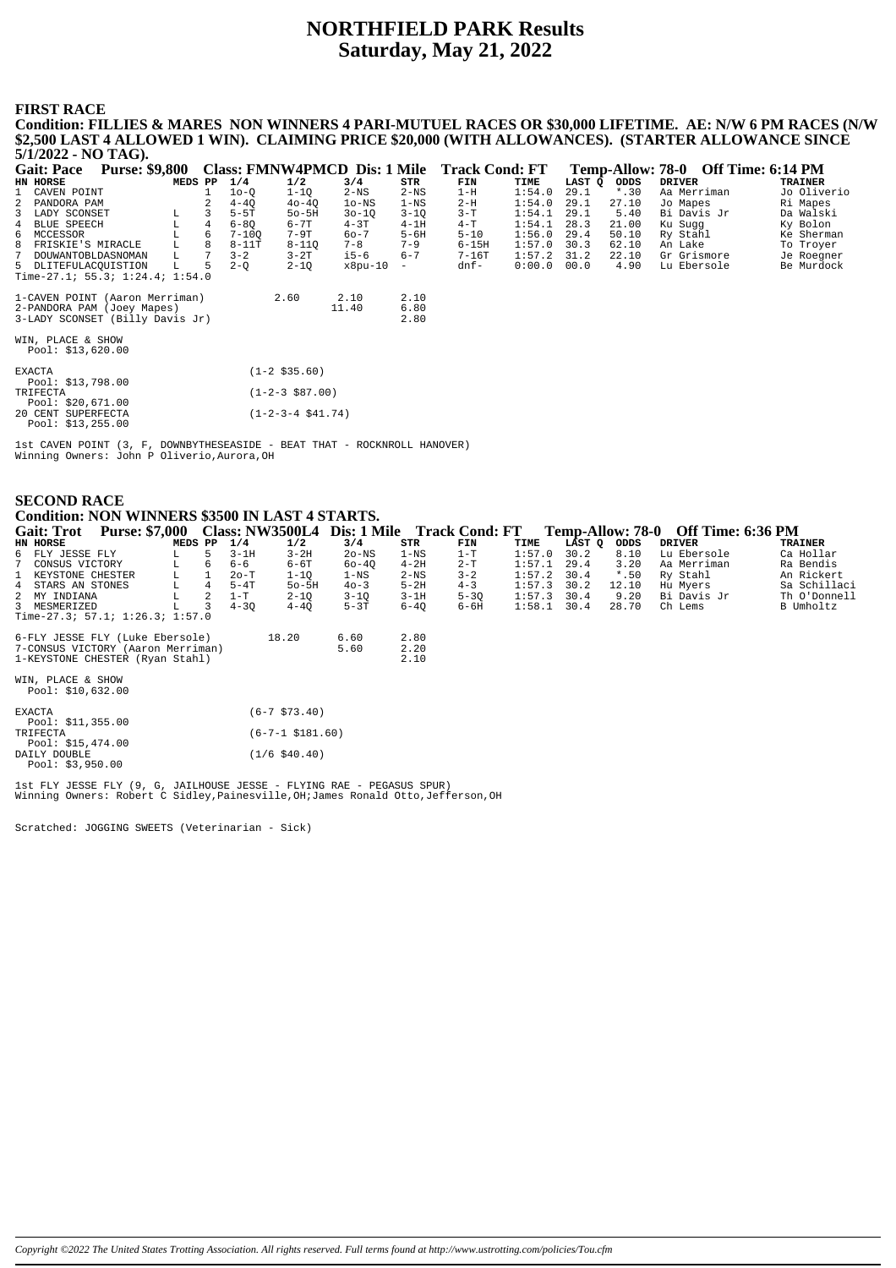# **NORTHFIELD PARK Results Saturday, May 21, 2022**

#### **FIRST RACE Condition: FILLIES & MARES NON WINNERS 4 PARI-MUTUEL RACES OR \$30,000 LIFETIME. AE: N/W 6 PM RACES (N/W**

**\$2,500 LAST 4 ALLOWED 1 WIN). CLAIMING PRICE \$20,000 (WITH ALLOWANCES). (STARTER ALLOWANCE SINCE 5/1/2022 - NO TAG).** Gait: Pace Purse: \$9,800 Class: FMNW4PMCD Dis: 1 Mile Track Cond: FT Temp-Allow: 78-0 Off Time: 6:14 PM<br>HN HORSE DRIVER TRAINER PRAINER TRAINER 1 CAVEN POINT 1 1o-Q 1-1Q 2-NS 2-NS 1-H 1:54.0 29.1 \*.30 Aa Merriman Jo Oliverio 2 PANDORA PAM 2 4-4Q 4o-4Q 1o-NS 1-NS 2-H 1:54.0 29.1 27.10 Jo Mapes Ri Mapes 3 LADY SCONSET L 3 5-5T 5o-5H 3o-1Q 3-1Q 3-T 1:54.1 29.1 5.40 Bi Davis Jr Da Walski 4 BLUE SPEECH L 4 6-8Q 6-7T 4-3T 4-1H 4-T 1:54.1 28.3 21.00 Ku Sugg Ky Bolon 6 MCCESSOR L 6 7-10Q 7-9T 6o-7 5-6H 5-10 1:56.0 29.4 50.10 Ry Stahl Ke Sherman 8 FRISKIE'S MIRACLE 1 3 5-5T 50-5H 30-1Q 3-1Q 3-T 1:54.1 29.1 5.40 Bibavis Jr Da Walski<br>
8 MCCESSOR 1 6-8Q 6-7T 4-3T 1:54.1 29.1 5.40 Bibavis Jr Da Walski<br>
8 MCCESSOR 1 6 7-10Q 7-9T 60-7 5-6H 5-10 1:56.0 29.4 50.10 Ry Stah 7 DOUWANTOBLDASNOMAN L 7 3-2 3-2T i5-6 6-7 7-16T 1:57.2 31.2 22.10 Gr Grismore Je Roegner  $D L I T E F U L A C Q U I S T I O N.$ Time-27.1; 55.3; 1:24.4; 1:54.0 1-CAVEN POINT (Aaron Merriman) 2.60 2.10 2.10 2-PANDORA PAM (Joey Mapes) 11.40 6.80 3-LADY SCONSET (Billy Davis Jr) 2.80 WIN, PLACE & SHOW Pool: \$13,620.00 EXACTA (1-2 \$35.60) Pool: \$13,798.00<br>TRIFECTA TRIFECTA (1-2-3 \$87.00) Pool: \$20,671.00 20 CENT SUPERFECTA (1-2-3-4 \$41.74) Pool: \$13,255.00

1st CAVEN POINT (3, F, DOWNBYTHESEASIDE - BEAT THAT - ROCKNROLL HANOVER) Winning Owners: John P Oliverio,Aurora,OH

| <b>SECOND RACE</b>                              |
|-------------------------------------------------|
| Condition: NON WINNERS \$3500 IN LAST 4 STARTS. |

| Gait: Trot Purse: \$7,000         |         |                | <b>Class: NW3500L4</b> |                         | Dis: 1 Mile Track Cond: FT |                 |          |        |        |         | Temp-Allow: 78-0 Off Time: 6:36 PM |              |
|-----------------------------------|---------|----------------|------------------------|-------------------------|----------------------------|-----------------|----------|--------|--------|---------|------------------------------------|--------------|
| HN HORSE                          | MEDS PP |                | 1/4                    | 1/2                     | 3/4                        | STR             | FIN      | TIME   | LAST Q | ODDS    | <b>DRIVER</b>                      | TRAINER      |
| 6 FLY JESSE FLY                   | L.      | 5.             | $3-1H$                 | $3 - 2H$                | $2o-NS$                    | $1 - NS$        | $1-T$    | 1:57.0 | 30.2   | 8.10    | Lu Ebersole                        | Ca Hollar    |
| CONSUS VICTORY<br>7               | L       | 6              | $6 - 6$                | $6-6T$                  | 60-40                      | $4-2H$          | $2-T$    | 1:57.1 | 29.4   | 3.20    | Aa Merriman                        | Ra Bendis    |
| KEYSTONE CHESTER<br>$\mathbf{1}$  | L       |                | $2o-T$                 | $1 - 1Q$                | $1 - \mathrm{NS}$          | $2-\mathrm{NS}$ | $3 - 2$  | 1:57.2 | 30.4   | $*$ .50 | Ry Stahl                           | An Rickert   |
| 4 STARS AN STONES                 | L.      | 4              | $5-4T$                 | $50 - 5H$               | $40 - 3$                   | $5-2H$          | $4 - 3$  | 1:57.3 | 30.2   | 12.10   | Hu Myers                           | Sa Schillaci |
| 2 MY INDIANA                      | L       | $\overline{2}$ | $1-T$                  | $2 - 1Q$                | $3 - 1Q$                   | $3-1H$          | $5 - 3Q$ | 1:57.3 | 30.4   | 9.20    | Bi Davis Jr                        | Th O'Donnell |
| 3 MESMERIZED                      | L       | 3              | $4 - 30$               | $4 - 40$                | $5-3T$                     | $6 - 40$        | 6-6H     | 1:58.1 | 30.4   | 28.70   | Ch Lems                            | B Umholtz    |
| Time-27.3; $57.1; 1:26.3; 1:57.0$ |         |                |                        |                         |                            |                 |          |        |        |         |                                    |              |
| 6-FLY JESSE FLY (Luke Ebersole)   |         |                |                        | 18.20                   | 6.60                       | 2.80            |          |        |        |         |                                    |              |
| 7-CONSUS VICTORY (Aaron Merriman) |         |                |                        |                         | 5.60                       | 2.20            |          |        |        |         |                                    |              |
| 1-KEYSTONE CHESTER (Ryan Stahl)   |         |                |                        |                         |                            | 2.10            |          |        |        |         |                                    |              |
| WIN, PLACE & SHOW                 |         |                |                        |                         |                            |                 |          |        |        |         |                                    |              |
| Pool: \$10,632.00                 |         |                |                        |                         |                            |                 |          |        |        |         |                                    |              |
| <b>EXACTA</b>                     |         |                |                        | $(6-7$ \$73.40)         |                            |                 |          |        |        |         |                                    |              |
| Pool: \$11,355.00                 |         |                |                        |                         |                            |                 |          |        |        |         |                                    |              |
| TRIFECTA<br>Pool: \$15,474.00     |         |                |                        | $(6 - 7 - 1 \ $181.60)$ |                            |                 |          |        |        |         |                                    |              |
| DAILY DOUBLE<br>Pool: \$3,950.00  |         |                |                        | $(1/6$ \$40.40)         |                            |                 |          |        |        |         |                                    |              |

1st FLY JESSE FLY (9, G, JAILHOUSE JESSE - FLYING RAE - PEGASUS SPUR) Winning Owners: Robert C Sidley,Painesville,OH;James Ronald Otto,Jefferson,OH

Scratched: JOGGING SWEETS (Veterinarian - Sick)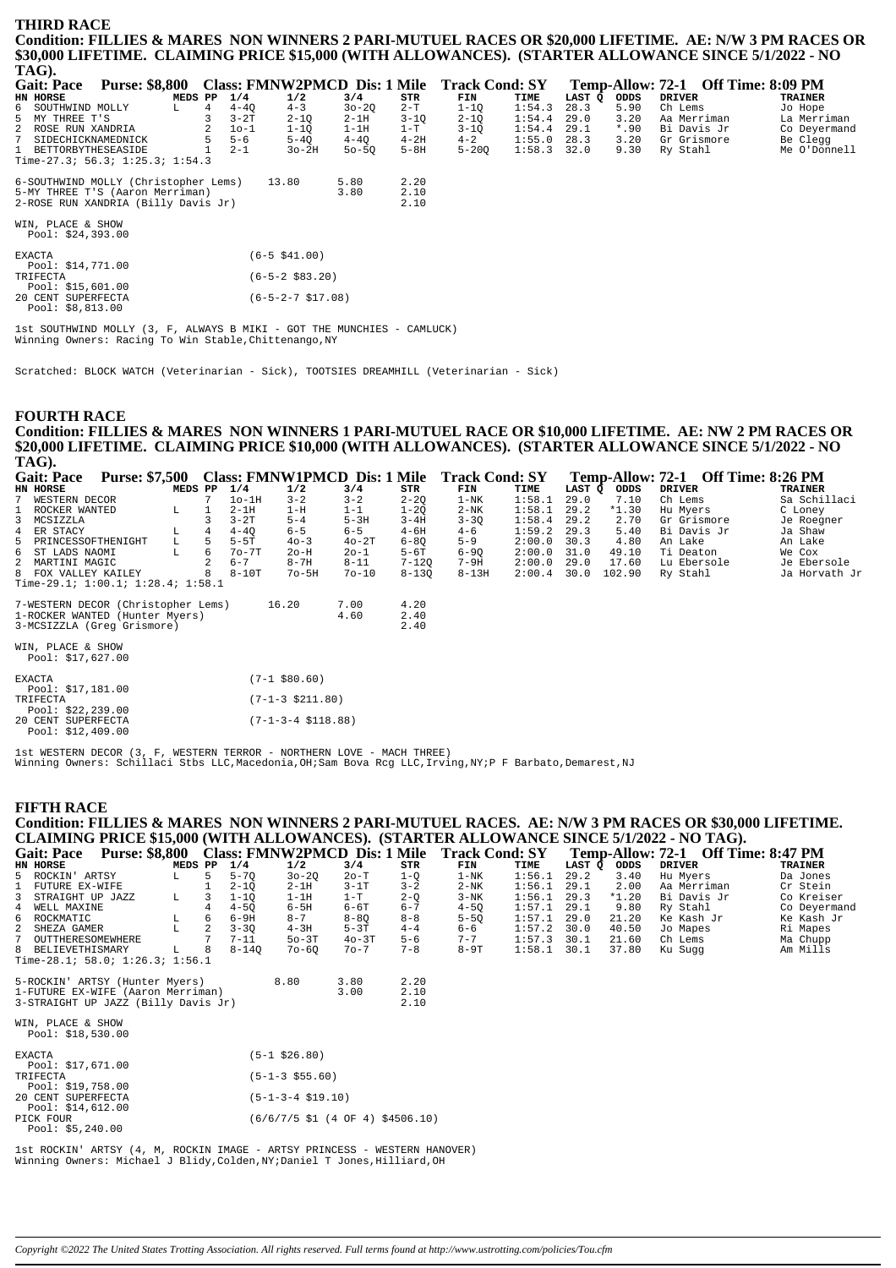#### **THIRD RACE** Condition: FILLIES & MARES NON WINNERS 2 PARI-MUTUEL RACES OR \$20,000 LIFETIME. AE: N/W 3 PM RACES OR \$30,000 LIFETIME. CLAIMING PRICE \$15,000 (WITH ALLOWANCES). (STARTER ALLOWANCE SINCE 5/1/2022 - NO TAG). Temp-Allow: 72-1 Off Time: 8:09 PM<br>LAST Q ODDS DRIVER TRAINER Gait: Pace Purse: \$8,800 Class: FMNW2PMCD Dis: 1 Mile Track Cond: SY LAST Q MEDS PP  $\frac{1}{4}$  $1/2$  $3/4$ **FIN** ODDS HN HORSE  $STR$ TIME  $4-4Q$ <br> $3-2T$ Jo Hope  $\begin{array}{c} 6 \\ 5 \end{array}$ SOUTHWIND MOLLY  $\mathbf{L}$  $\overline{4}$  $4 - 3$  $30 - 20$  $2-T$  $1 - 10$  $1:54.3$  $28.3$  $5.90$ Ch Lems MY THREE T'S<br>MY THREE T'S<br>ROSE RIIN XANDRIA  $\overline{3}$  $2 - 10$ <br> $1 - 10$  $2-1H$ <br> $1-1H$  $3 - 1Q$ <br> $1 - T$  $2-10$ <br> $3-10$  $29.0$  $3.20$  $1:54.4$ Aa Merriman La Merriman  $\mathcal{L}$  $\Omega$  $10 - 1$  $1:54A$  $291$  $*$  00 Bi Davis Jr Co Deyermand  $\frac{2}{7}$  $4 - 2H$ SIDECHICKNAMEDNICK  $\overline{5}$  $5 - 6$  $5 - 4Q$  $4 - 4Q$  $4 - 2$  $1:55.0$  $28.3$  $3.20$ Gr Grismore Be Clegg **BETTORBYTHESEASIDE**  $\overline{1}$  $2 - 1$  $30 - 2H$  $50 - 50$  $5 - RH$  $5 - 200$  $1:58.3$  $320$  $9.30$ Ry Stahl  $Me$   $0'$  Donnell  $\overline{1}$  $\frac{1}{2}$  me-27.3; 56.3; 1:25.3; 1:54.3  $2.20$ <br> $2.10$ -SOUTHWIND MOLLY (Christopher Lems) 13.80 5.80 5-MY THREE T'S (Aaron Merriman) 3.80 2-ROSE RUN XANDRIA (Billy Davis Jr)  $2.10$ WIN, PLACE & SHOW Pool: \$24,393.00 EXACTA  $(6 - 5, 541, 00)$ Pool: \$14,771.00

1st SOUTHWIND MOLLY (3, F, ALWAYS B MIKI - GOT THE MUNCHIES - CAMLUCK)<br>Winning Owners: Racing To Win Stable, Chittenango, NY

Scratched: BLOCK WATCH (Veterinarian - Sick), TOOTSIES DREAMHILL (Veterinarian - Sick)

 $(6-5-2832)$  $(6 - 5 - 2 - 7 \ $17.08)$ 

#### **FOURTH RACE**

POU: \$14,771.00<br>TRIFECTA<br>Pool: \$15,601.00<br>20 CENT SUPERFECTA<br>Pool: \$8,813.00

Condition: FILLIES & MARES NON WINNERS 1 PARI-MUTUEL RACE OR \$10,000 LIFETIME. AE: NW 2 PM RACES OR \$20,000 LIFETIME. CLAIMING PRICE \$10,000 (WITH ALLOWANCES). (STARTER ALLOWANCE SINCE 5/1/2022 - NO TAG).

|               | <b>Purse: \$7,500</b><br>Gait: Pace                          |         |   |          |                               | Class: FMNWIPMCD Dis: 1 Mile |              | Track Cond: SY |        |        | Temp-Allow: 72-1 |               | <b>Off Time: 8:26 PM</b> |
|---------------|--------------------------------------------------------------|---------|---|----------|-------------------------------|------------------------------|--------------|----------------|--------|--------|------------------|---------------|--------------------------|
| HN HORSE      |                                                              | MEDS PP |   | 1/4      | 1/2                           | 3/4                          | STR          | FIN            | TIME   | LAST Q | ODDS             | <b>DRIVER</b> | <b>TRAINER</b>           |
|               | WESTERN DECOR                                                |         |   | $1o-1H$  | $3 - 2$                       | $3 - 2$                      | $2 - 2Q$     | $1 - NK$       | 1:58.1 | 29.0   | 7.10             | Ch Lems       | Sa Schillaci             |
| 1             | ROCKER WANTED                                                | L       |   | $2-1H$   | $1-H$                         | $1 - 1$                      | $1 - 2Q$     | $2-NK$         | 1:58.1 | 29.2   | $*1.30$          | Hu Myers      | C Loney                  |
| 3             | MCSIZZLA                                                     |         |   | $3-2T$   | $5 - 4$                       | $5-3H$                       | $3 - 4H$     | $3 - 30$       | 1:58.4 | 29.2   | 2.70             | Gr Grismore   | Je Roegner               |
|               | 4 ER STACY                                                   | L       | 4 | $4 - 40$ | $6 - 5$                       | $6 - 5$                      | $4-6H$       | $4 - 6$        | 1:59.2 | 29.3   | 5.40             | Bi Davis Jr   | Ja Shaw                  |
|               | 5 PRINCESSOFTHENIGHT                                         | L       | 5 | $5-5T$   | $40 - 3$                      | $40-2T$                      | $6 - 80$     | $5 - 9$        | 2:00.0 | 30.3   | 4.80             | An Lake       | An Lake                  |
|               | 6 ST LADS NAOMI                                              | L       | 6 | $70-7T$  | 20-H                          | $20 - 1$                     | $5-6T$       | 6-9Q           | 2:00.0 | 31.0   | 49.10            | Ti Deaton     | We Cox                   |
|               | 2 MARTINI MAGIC                                              |         |   | $6 - 7$  | $8 - 7H$                      | $8 - 11$                     | $7 - 120$    | 7-9H           | 2:00.0 | 29.0   | 17.60            | Lu Ebersole   | Je Ebersole              |
|               | 8 FOX VALLEY KAILEY                                          |         | 8 | $8-10T$  | $7o-5H$                       | $70 - 10$                    | $8 - 130$    | $8 - 13H$      | 2:00.4 | 30.0   | 102.90           | Ry Stahl      | Ja Horvath Jr            |
|               | Time-29.1; $1:00.1$ ; $1:28.4$ ; $1:58.1$                    |         |   |          |                               |                              |              |                |        |        |                  |               |                          |
|               | 7-WESTERN DECOR (Christopher Lems)                           |         |   |          | 16.20                         | 7.00                         | 4.20         |                |        |        |                  |               |                          |
|               | 1-ROCKER WANTED (Hunter Myers)<br>3-MCSIZZLA (Greq Grismore) |         |   |          |                               | 4.60                         | 2.40<br>2.40 |                |        |        |                  |               |                          |
|               | WIN, PLACE & SHOW<br>Pool: \$17,627.00                       |         |   |          |                               |                              |              |                |        |        |                  |               |                          |
| <b>EXACTA</b> | Pool: $$17,181.00$                                           |         |   |          | $(7-1$ \$80.60)               |                              |              |                |        |        |                  |               |                          |
| TRIFECTA      | Pool: $$22,239.00$                                           |         |   |          | $(7 - 1 - 3 \ $211.80)$       |                              |              |                |        |        |                  |               |                          |
|               | 20 CENT SUPERFECTA                                           |         |   |          | $(7-1-3-4 \; \text{S118.88})$ |                              |              |                |        |        |                  |               |                          |

1st WESTERN DECOR (3, F, WESTERN TERROR - NORTHERN LOVE - MACH THREE) Winning Owners: Schillaci Stbs LLC, Macedonia, OH; Sam Bova Rcg LLC, Irving, NY; P F Barbato, Demarest, NJ

#### **FIFTH RACE**

Pool: \$12,409.00

Condition: FILLIES & MARES NON WINNERS 2 PARI-MUTUEL RACES. AE: N/W 3 PM RACES OR \$30,000 LIFETIME. CLAIMING PRICE \$15,000 (WITH ALLOWANCES). (STARTER ALLOWANCE SINCE 5/1/2022 - NO TAG).<br>
Gait: Pace Purse: \$8,800 Class: EMNW2PMCD Dis: 1 Mile Track Cond: SV Temp-Allow: 72-1 Off Tin

| Gail: Pace<br>Purse; 50,000     |         |   |           | Class: FMINWZPMCD DIS: 1 MIIE |          |         | TLACK COULL 9 I |        |        |         | $1$ emp-Allow: $\frac{1}{2}$ -1 UII Time: $\frac{1}{2}$ -1 FM |                |
|---------------------------------|---------|---|-----------|-------------------------------|----------|---------|-----------------|--------|--------|---------|---------------------------------------------------------------|----------------|
| HN HORSE                        | MEDS PP |   | 1/4       | 1/2                           | 3/4      | STR     | FIN             | TIME   | LAST O | ODDS    | DRIVER                                                        | <b>TRAINER</b> |
| 5 ROCKIN' ARTSY                 | L.      |   | $5 - 70$  | $30 - 20$                     | $2o-T$   | 1-0     | 1-NK            | 1:56.1 | 29.2   | 3.40    | Hu Mvers                                                      | Da Jones       |
| 1 FUTURE EX-WIFE                |         |   | $2 - 10$  | $2-1H$                        | $3-1T$   | $3 - 2$ | $2-NK$          | 1:56.1 | 29.1   | 2.00    | Aa Merriman                                                   | Cr Stein       |
| 3 STRAIGHT UP JAZZ              |         |   | $1-10$    | $1-1H$                        | 1-T      | $2 - 0$ | $3-NK$          | 1:56.1 | 29.3   | $*1.20$ | Bi Davis Jr                                                   | Co Kreiser     |
| 4 WELL MAXINE                   |         |   | $4 - 50$  | $6-5H$                        | 6-6T     | $6 - 7$ | $4 - 50$        | 1:57.1 | 29.1   | 9.80    | Ry Stahl                                                      | Co Deyermand   |
| 6 ROCKMATIC                     |         | 6 | $6-9H$    | $8 - 7$                       | $8 - 80$ | $8 - 8$ | $5 - 50$        | 1:57.1 | 29.0   | 21.20   | Ke Kash Jr                                                    | Ke Kash Jr     |
| 2 SHEZA GAMER                   |         |   | $3 - 30$  | $4 - 3H$                      | $5-3T$   | $4 - 4$ | 6-6             | 1:57.2 | 30.0   | 40.50   | Jo Mapes                                                      | Ri Mapes       |
| 7 OUTTHERESOMEWHERE             |         |   | $7 - 11$  | $50-3T$                       | $40-3T$  | $5 - 6$ | $7 - 7$         | 1:57.3 | 30.1   | 21.60   | Ch Lems                                                       | Ma Chupp       |
| 8 BELIEVETHISMARY               |         | 8 | $8 - 140$ | $70 - 60$                     | $70 - 7$ | $7 - 8$ | $8-9T$          | 1:58.1 | 30.1   | 37.80   | Ku Sugg                                                       | Am Mills       |
| Time-28.1; 58.0; 1:26.3; 1:56.1 |         |   |           |                               |          |         |                 |        |        |         |                                                               |                |

| 5-ROCKIN' ARTSY (Hunter Myers)<br>1-FUTURE EX-WIFE (Aaron Merriman)<br>3-STRAIGHT UP JAZZ (Billy Davis Jr) | 8.80                       | 3.80<br>3.00                                                                  | 2.20<br>2.10<br>2.10 |
|------------------------------------------------------------------------------------------------------------|----------------------------|-------------------------------------------------------------------------------|----------------------|
| WIN, PLACE & SHOW<br>Pool: \$18,530.00                                                                     |                            |                                                                               |                      |
| <b>EXACTA</b>                                                                                              | $(5-1 \; $26.80)$          |                                                                               |                      |
| Pool: \$17,671.00<br>TR T F F.C.TA                                                                         | $(5-1-3 \; $55.60)$        |                                                                               |                      |
| Pool: \$19,758.00<br>20 CENT SUPERFECTA                                                                    | $(5-1-3-4 \text{ }519.10)$ |                                                                               |                      |
| Pool: \$14,612.00<br>PICK FOUR                                                                             |                            | $(6/6/7/5 \text{ } $1 \text{ } (4 \text{ } 0F \text{ } 4) \text{ } $4506.10)$ |                      |
| Pool: \$5.240.00                                                                                           |                            |                                                                               |                      |

1st ROCKIN' ARTSY (4, M, ROCKIN IMAGE - ARTSY PRINCESS - WESTERN HANOVER)<br>Winning Owners: Michael J Blidy, Colden, NY; Daniel T Jones, Hilliard, OH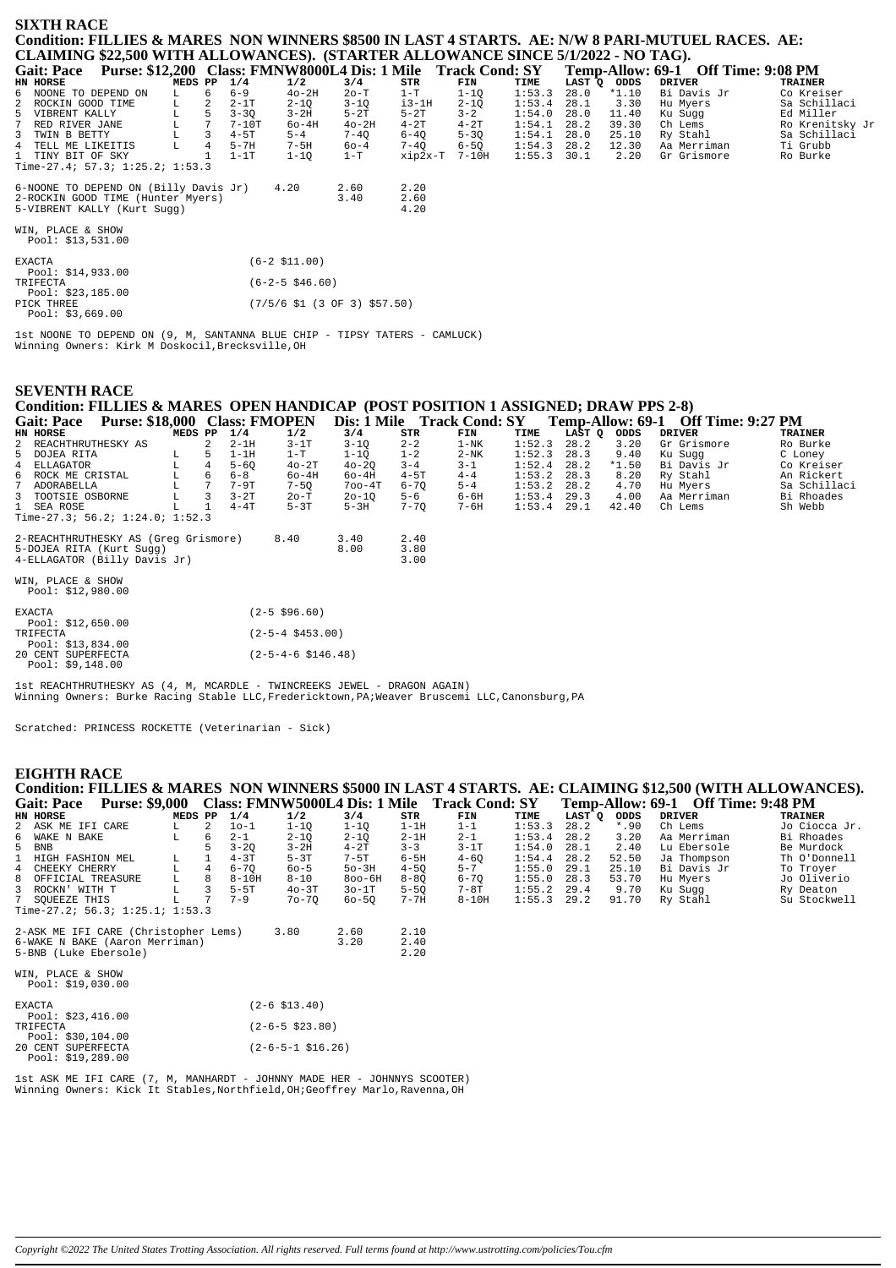# **SIXTH RACE Condition: FILLIES & MARES NON WINNERS \$8500 IN LAST 4 STARTS. AE: N/W 8 PARI-MUTUEL RACES. AE: CLAIMING \$22,500 WITH ALLOWANCES). (STARTER ALLOWANCE SINCE 5/1/2022 - NO TAG).**

| <b>Gait: Pace</b>  | Purse: \$12,200 Class: FMNW8000L4 Dis: 1 Mile Track Cond: SY |         |    |          |          |          |          |          |               |      |             | Temp-Allow: 69-1 Off Time: 9:08 PM |                 |
|--------------------|--------------------------------------------------------------|---------|----|----------|----------|----------|----------|----------|---------------|------|-------------|------------------------------------|-----------------|
| HN HORSE           |                                                              | MEDS PP |    | 1/4      | 1/2      | 3/4      | STR      | FIN      | TIME          |      | LAST O ODDS | DRIVER                             | TRAINER         |
|                    | 6 NOONE TO DEPEND ON                                         | L       | 6. | $6 - 9$  | $40-2H$  | $2o-T$   | 1-т      | 1-10     | 1:53.3        | 28.0 | $*1.10$     | Bi Davis Jr                        | Co Kreiser      |
| 2 ROCKIN GOOD TIME |                                                              | L       | 2  | $2-1T$   | $2 - 10$ | $3 - 10$ | $i3-1H$  | $2 - 10$ | $1:53.4$ 28.1 |      | 3.30        | Hu Myers                           | Sa Schillaci    |
| 5 VIBRENT KALLY    |                                                              | L       |    | $3 - 30$ | $3-2H$   | $5-2T$   | $5-2T$   | $3 - 2$  | 1:54.0        | 28.0 | 11.40       | Ku Sugg                            | Ed Miller       |
| 7 RED RIVER JANE   |                                                              | L       |    | $7-10T$  | $60-4H$  | $40-2H$  | $4-2T$   | $4-2T$   | 1:54.1        | 28.2 | 39.30       | Ch Lems                            | Ro Krenitsky Jr |
| 3 TWIN B BETTY     |                                                              |         |    | $4-5T$   | $5 - 4$  | 7-40     | $6 - 40$ | $5 - 30$ | 1:54.1        | 28.0 | 25.10       | Ry Stahl                           | Sa Schillaci    |
| 4 TELL ME LIKEITIS |                                                              | L       | 4  | $5-7H$   | $7-5H$   | $60 - 4$ | $7 - 40$ | $6 - 50$ | 1:54.3        | 28.2 | 12.30       | Aa Merriman                        | Ti Grubb        |
| 1 TINY BIT OF SKY  |                                                              |         |    | $1-1T$   | $1 - 10$ | 1-T      | xip2x-T  | 7-10H    | $1:55.3$ 30.1 |      | 2.20        | Gr Grismore                        | Ro Burke        |
|                    | Time-27.4; 57.3; 1:25.2; 1:53.3                              |         |    |          |          |          |          |          |               |      |             |                                    |                 |
|                    |                                                              |         |    |          |          |          |          |          |               |      |             |                                    |                 |
|                    | 6-NOONE TO DEPEND ON (Billy Davis Jr)                        |         |    |          | 4.20     | 2.60     | 2.20     |          |               |      |             |                                    |                 |
|                    | 2-ROCKIN GOOD TIME (Hunter Myers)                            |         |    |          |          | 3. 40    | 2.60     |          |               |      |             |                                    |                 |

2-ROCKIN GOOD TIME (Hunter Myers) 3.40 2.60 5-VIBRENT KALLY (Kurt Sugg) 4.20

WIN, PLACE & SHOW Pool: \$13,531.00

| <b>EXACTA</b>      | $(6-2 \; $11.00)$              |
|--------------------|--------------------------------|
| Pool: $$14,933.00$ |                                |
| TRIFECTA           | $(6-2-5 \t$46.60)$             |
| Pool: \$23,185.00  |                                |
| PICK THREE         | $(7/5/6$ \$1 (3 OF 3) \$57.50) |
| Pool: $$3,669.00$  |                                |

1st NOONE TO DEPEND ON (9, M, SANTANNA BLUE CHIP - TIPSY TATERS - CAMLUCK) Winning Owners: Kirk M Doskocil,Brecksville,OH

### **SEVENTH RACE**

# **Condition: FILLIES & MARES OPEN HANDICAP (POST POSITION 1 ASSIGNED; DRAW PPS 2-8)**

| <b>Gait: Pace</b>                       | Purse: \$18,000 Class: FMOPEN        |         |    |          |          | Dis: 1 Mile |          | <b>Track Cond: SY</b> |               |               |             | Temp-Allow: 69-1 Off Time: 9:27 PM |              |
|-----------------------------------------|--------------------------------------|---------|----|----------|----------|-------------|----------|-----------------------|---------------|---------------|-------------|------------------------------------|--------------|
| HN HORSE                                |                                      | MEDS PP |    | 1/4      | 1/2      | 3/4         | STR      | FIN                   | TIME          |               | LAST O ODDS | DRIVER                             | TRAINER      |
| 2 REACHTHRUTHESKY AS                    |                                      |         | 2  | $2-1H$   | $3-1T$   | $3 - 10$    | $2 - 2$  | $1-NK$                | 1:52.3        | 28.2          | 3.20        | Gr Grismore                        | Ro Burke     |
| 5 DOJEA RITA                            |                                      | L       | .5 | $1-1H$   | 1-T      | $1 - 10$    | $1 - 2$  | $2-NK$                | 1:52.3        | 28.3          | 9.40        | Ku Sugg                            | C Loney      |
| 4 ELLAGATOR                             |                                      | T.      | 4  | $5 - 60$ | $40-2T$  | $40 - 20$   | $3 - 4$  | $3 - 1$               | 1:52.4        | 28.2          | $*1.50$     | Bi Davis Jr                        | Co Kreiser   |
| 6 ROCK ME CRISTAL                       |                                      |         | 6  | $6 - 8$  | $60-4H$  | 60-4H       | $4-5T$   | $4 - 4$               | 1:53.2        | 28.3          | 8.20        | Ry Stahl                           | An Rickert   |
| 7 ADORABELLA                            |                                      |         |    | $7-9T$   | $7 - 50$ | $700 - 4T$  | $6 - 70$ | $5 - 4$               | 1:53.2        | 28.2          | 4.70        | Hu Mvers                           | Sa Schillaci |
| 3 TOOTSIE OSBORNE                       |                                      | L.      | 3  | $3-2T$   | $2o-T$   | $20 - 10$   | $5 - 6$  | 6-6H                  |               | $1:53.4$ 29.3 | 4.00        | Aa Merriman                        | Bi Rhoades   |
| 1 SEA ROSE                              |                                      |         |    | $4 - 4T$ | $5-3T$   | $5-3H$      | $7 - 70$ | 7-6H                  | $1:53.4$ 29.1 |               | 42.40       | Ch Lems                            | Sh Webb      |
|                                         | Time-27.3; 56.2; $1:24.0; 1:52.3$    |         |    |          |          |             |          |                       |               |               |             |                                    |              |
|                                         | 2-REACHTHRUTHESKY AS (Greq Grismore) |         |    |          | 8.40     | 3.40        | 2.40     |                       |               |               |             |                                    |              |
|                                         | 5-DOJEA RITA (Kurt Sugg)             |         |    |          |          | 8.00        | 3.80     |                       |               |               |             |                                    |              |
|                                         | 4-ELLAGATOR (Billy Davis Jr)         |         |    |          |          |             | 3.00     |                       |               |               |             |                                    |              |
| WIN, PLACE & SHOW<br>Pool: $$12,980.00$ |                                      |         |    |          |          |             |          |                       |               |               |             |                                    |              |

| $(2 - 5 \ $96.60)$                 |
|------------------------------------|
|                                    |
| $(2 - 5 - 4 \text{ } $453.00)$     |
|                                    |
| $(2 - 5 - 4 - 6 \text{ } $146.48)$ |
|                                    |
|                                    |

1st REACHTHRUTHESKY AS (4, M, MCARDLE - TWINCREEKS JEWEL - DRAGON AGAIN) Winning Owners: Burke Racing Stable LLC,Fredericktown,PA;Weaver Bruscemi LLC,Canonsburg,PA

Scratched: PRINCESS ROCKETTE (Veterinarian - Sick)

# **EIGHTH RACE**

| Condition: FILLIES & MARES NON WINNERS \$5000 IN LAST 4 STARTS. AE: CLAIMING \$12,500 (WITH ALLOWANCES). |    |         |           |                        |            |          |                                                             |        |        |             |                                    |                |
|----------------------------------------------------------------------------------------------------------|----|---------|-----------|------------------------|------------|----------|-------------------------------------------------------------|--------|--------|-------------|------------------------------------|----------------|
| <b>Gait: Pace</b>                                                                                        |    |         |           |                        |            |          | Purse: \$9,000 Class: FMNW5000L4 Dis: 1 Mile Track Cond: SY |        |        |             | Temp-Allow: 69-1 Off Time: 9:48 PM |                |
| HN HORSE                                                                                                 |    | MEDS PP | 1/4       | 1/2                    | 3/4        | STR      | FIN                                                         | TIME   | LAST O | <b>ODDS</b> | <b>DRIVER</b>                      | <b>TRAINER</b> |
| 2 ASK ME IFI CARE                                                                                        | L. | 2       | $10-1$    | $1 - 10$               | $1 - 1Q$   | $1-1H$   | $1 - 1$                                                     | 1:53.3 | 28.2   | $*.90$      | Ch Lems                            | Jo Ciocca Jr.  |
| 6 WAKE N BAKE                                                                                            | L  | 6       | $2 - 1$   | $2 - 1Q$               | $2 - 1Q$   | $2-1H$   | $2 - 1$                                                     | 1:53.4 | 28.2   | 3.20        | Aa Merriman                        | Bi Rhoades     |
| 5 BNB                                                                                                    |    |         | $3 - 20$  | $3-2H$                 | $4-2T$     | $3 - 3$  | $3-1T$                                                      | 1:54.0 | 28.1   | 2.40        | Lu Ebersole                        | Be Murdock     |
| $\mathbf{1}$<br>HIGH FASHION MEL                                                                         | L. |         | $4 - 3T$  | $5-3T$                 | $7-5T$     | $6-5H$   | $4 - 60$                                                    | 1:54.4 | 28.2   | 52.50       | Ja Thompson                        | Th O'Donnell   |
| 4 CHEEKY CHERRY                                                                                          | L  |         | $6 - 70$  | $60 - 5$               | $50-3H$    | $4 - 50$ | $5 - 7$                                                     | 1:55.0 | 29.1   | 25.10       | Bi Davis Jr                        | To Troyer      |
| 8 OFFICIAL TREASURE                                                                                      | L. |         | $8 - 10H$ | $8 - 10$               | $800 - 6H$ | $8 - 80$ | $6 - 70$                                                    | 1:55.0 | 28.3   | 53.70       | Hu Myers                           | Jo Oliverio    |
| 3 ROCKN' WITH T                                                                                          | г  |         | $5-5T$    | $40-3T$                | $30-1T$    | $5 - 5Q$ | 7-8T                                                        | 1:55.2 | 29.4   | 9.70        | Ku Sugg                            | Ry Deaton      |
| 7 SOUEEZE THIS                                                                                           | L  |         | $7 - 9$   | $70 - 70$              | $60 - 50$  | $7 - 7H$ | $8-10H$                                                     | 1:55.3 | 29.2   | 91.70       | Ry Stahl                           | Su Stockwell   |
| Time-27.2; 56.3; 1:25.1; 1:53.3                                                                          |    |         |           |                        |            |          |                                                             |        |        |             |                                    |                |
| 2-ASK ME IFI CARE (Christopher Lems)                                                                     |    |         |           | 3.80                   | 2.60       | 2.10     |                                                             |        |        |             |                                    |                |
| 6-WAKE N BAKE (Aaron Merriman)                                                                           |    |         |           |                        | 3.20       | 2.40     |                                                             |        |        |             |                                    |                |
| 5-BNB (Luke Ebersole)                                                                                    |    |         |           |                        |            | 2.20     |                                                             |        |        |             |                                    |                |
|                                                                                                          |    |         |           |                        |            |          |                                                             |        |        |             |                                    |                |
| WIN, PLACE & SHOW                                                                                        |    |         |           |                        |            |          |                                                             |        |        |             |                                    |                |
| Pool: $$19,030.00$                                                                                       |    |         |           |                        |            |          |                                                             |        |        |             |                                    |                |
| <b>EXACTA</b>                                                                                            |    |         |           | $(2 - 6 \, $13.40)$    |            |          |                                                             |        |        |             |                                    |                |
| Pool: \$23,416.00                                                                                        |    |         |           |                        |            |          |                                                             |        |        |             |                                    |                |
| TRIFECTA                                                                                                 |    |         |           | $(2 - 6 - 5 \ $23.80)$ |            |          |                                                             |        |        |             |                                    |                |

| Pool: $$30,104.00$ |                            |  |
|--------------------|----------------------------|--|
| 20 CENT SUPERFECTA | $(2-6-5-1 \text{ }516.26)$ |  |
| Pool: $$19,289.00$ |                            |  |

1st ASK ME IFI CARE (7, M, MANHARDT - JOHNNY MADE HER - JOHNNYS SCOOTER) Winning Owners: Kick It Stables,Northfield,OH;Geoffrey Marlo,Ravenna,OH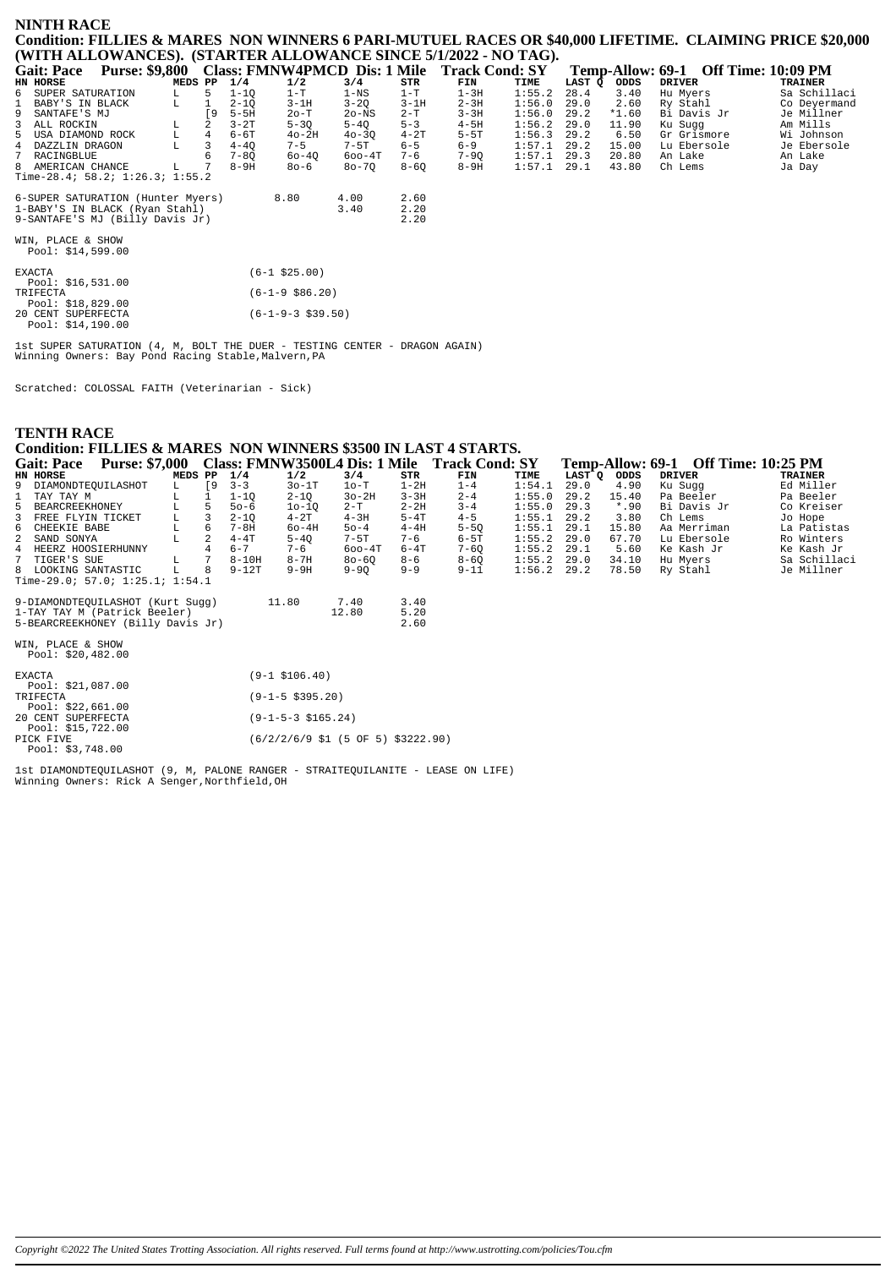## **NINTH RACE** Condition: FILLIES & MARES NON WINNERS 6 PARI-MUTUEL RACES OR \$40,000 LIFETIME. CLAIMING PRICE \$20,000 (WITH ALLOWANCES). (STARTER ALLOWANCE SINCE 5/1/2022 - NO TAG).

| <b>Gait: Pace</b>                                                 | <b>Purse: \$9,800</b> |         |          | Class: FMNW4PMCD Dis: 1 Mile |            |              | <b>Track Cond: SY</b> |        |        | Temp-Allow: 69-1 |               | <b>Off Time: 10:09 PM</b> |
|-------------------------------------------------------------------|-----------------------|---------|----------|------------------------------|------------|--------------|-----------------------|--------|--------|------------------|---------------|---------------------------|
| HN HORSE                                                          |                       | MEDS PP | 1/4      | 1/2                          | 3/4        | STR          | FIN                   | TIME   | LAST O | ODDS             | <b>DRIVER</b> | <b>TRAINER</b>            |
| 6 SUPER SATURATION                                                |                       |         | 1-10     | $1-T$                        | 1-NS       | $1-T$        | $1-3H$                | 1:55.2 | 28.4   | 3.40             | Hu Myers      | Sa Schillaci              |
| 1 BABY'S IN BLACK                                                 | L                     |         | $2 - 10$ | $3-1H$                       | $3 - 20$   | $3-1H$       | $2 - 3H$              | 1:56.0 | 29.0   | 2.60             | Ry Stahl      | Co Deyermand              |
| 9 SANTAFE'S MJ                                                    |                       | ſ9.     | $5-5H$   | $2o-T$                       | $2o$ -NS   | $2-T$        | $3 - 3H$              | 1:56.0 | 29.2   | $*1.60$          | Bi Davis Jr   | Je Millner                |
| 3 ALL ROCKIN                                                      |                       |         | $3-2T$   | $5 - 30$                     | $5 - 40$   | $5 - 3$      | $4-5H$                | 1:56.2 | 29.0   | 11.90            | Ku Sugg       | Am Mills                  |
| 5 USA DIAMOND ROCK                                                | L                     | 4       | 6-6T     | $40-2H$                      | $40 - 30$  | $4-2T$       | $5-5T$                | 1:56.3 | 29.2   | 6.50             | Gr Grismore   | Wi Johnson                |
| 4 DAZZLIN DRAGON                                                  |                       |         | $4 - 40$ | $7 - 5$                      | $7-5T$     | $6 - 5$      | $6 - 9$               | 1:57.1 | 29.2   | 15.00            | Lu Ebersole   | Je Ebersole               |
| 7 RACINGBLUE                                                      |                       |         | $7 - 80$ | $60 - 40$                    | $600 - 4T$ | $7 - 6$      | $7 - 90$              | 1:57.1 | 29.3   | 20.80            | An Lake       | An Lake                   |
| 8 AMERICAN CHANCE                                                 | L.                    |         | $8-9H$   | 80-6                         | $80 - 70$  | $8 - 60$     | $8-9H$                | 1:57.1 | 29.1   | 43.80            | Ch Lems       | Ja Day                    |
| Time-28.4; 58.2; $1:26.3$ ; $1:55.2$                              |                       |         |          |                              |            |              |                       |        |        |                  |               |                           |
| 6-SUPER SATURATION (Hunter Myers)                                 |                       |         |          | 8.80                         | 4.00       | 2.60         |                       |        |        |                  |               |                           |
| 1-BABY'S IN BLACK (Ryan Stahl)<br>9-SANTAFE'S MJ (Billy Davis Jr) |                       |         |          |                              | 3.40       | 2.20<br>2.20 |                       |        |        |                  |               |                           |
|                                                                   |                       |         |          |                              |            |              |                       |        |        |                  |               |                           |

WIN, PLACE & SHOW<br>Pool: \$14,599.00

| <b>EXACTA</b> |                    | $(6-1$ \$25.00)            |
|---------------|--------------------|----------------------------|
|               | Pool: \$16,531.00  |                            |
| TRIFECTA      |                    | $(6-1-9 \text{ } $86.20)$  |
|               | Pool: \$18,829.00  |                            |
|               | 20 CENT SUPERFECTA | $(6-1-9-3 \text{ }539.50)$ |
|               | Pool: \$14,190.00  |                            |

1st SUPER SATURATION (4, M, BOLT THE DUER - TESTING CENTER - DRAGON AGAIN)<br>Winning Owners: Bay Pond Racing Stable,Malvern,PA

Scratched: COLOSSAL FAITH (Veterinarian - Sick)

| <b>TENTH RACE</b>                                               |                                                             |             |                |           |                        |                                                                                 |          |          |        |             |         |               |                                     |                |
|-----------------------------------------------------------------|-------------------------------------------------------------|-------------|----------------|-----------|------------------------|---------------------------------------------------------------------------------|----------|----------|--------|-------------|---------|---------------|-------------------------------------|----------------|
| Condition: FILLIES & MARES NON WINNERS \$3500 IN LAST 4 STARTS. |                                                             |             |                |           |                        |                                                                                 |          |          |        |             |         |               |                                     |                |
| <b>Gait: Pace</b>                                               | Purse: \$7,000 Class: FMNW3500L4 Dis: 1 Mile Track Cond: SY |             |                |           |                        |                                                                                 |          |          |        |             |         |               | Temp-Allow: 69-1 Off Time: 10:25 PM |                |
| HN HORSE                                                        |                                                             | MEDS PP     |                | 1/4       | 1/2                    | 3/4                                                                             | STR      | FIN      | TIME   | LAST Q ODDS |         | <b>DRIVER</b> |                                     | <b>TRAINER</b> |
| 9 DIAMONDTEQUILASHOT                                            |                                                             | L           | [9             | $3 - 3$   | $30-1T$                | $1o-T$                                                                          | $1 - 2H$ | $1 - 4$  | 1:54.1 | 29.0        | 4.90    | Ku Sugg       |                                     | Ed Miller      |
| TAY TAY M                                                       |                                                             |             |                | $1 - 10$  | $2 - 10$               | $3o-2H$                                                                         | $3 - 3H$ | $2 - 4$  | 1:55.0 | 29.2        | 15.40   | Pa Beeler     |                                     | Pa Beeler      |
| 5<br>BEARCREEKHONEY                                             |                                                             |             | 5              | $50 - 6$  | $10 - 10$              | $2-T$                                                                           | $2 - 2H$ | $3 - 4$  | 1:55.0 | 29.3        | $*$ .90 | Bi Davis Jr   |                                     | Co Kreiser     |
| $\overline{3}$<br>FREE FLYIN TICKET                             |                                                             | L           | 3              | $2 - 1Q$  | $4 - 2T$               | $4 - 3H$                                                                        | $5-4T$   | $4 - 5$  | 1:55.1 | 29.2        | 3.80    | Ch Lems       |                                     | Jo Hope        |
| CHEEKIE BABE<br>6                                               |                                                             | L           | 6              | $7 - 8H$  | $60-4H$                | $50 - 4$                                                                        | $4 - 4H$ | $5 - 50$ | 1:55.1 | 29.1        | 15.80   | Aa Merriman   |                                     | La Patistas    |
| $\overline{a}$<br>SAND SONYA                                    |                                                             | $\mathbf L$ | $\overline{a}$ | $4 - 4T$  | $5 - 4Q$               | $7-5T$                                                                          | $7 - 6$  | $6-5T$   | 1:55.2 | 29.0        | 67.70   | Lu Ebersole   |                                     | Ro Winters     |
| HEERZ HOOSIERHUNNY<br>4                                         |                                                             |             |                | $6 - 7$   | $7 - 6$                | $600 - 4T$                                                                      | $6 - 4T$ | $7 - 60$ | 1:55.2 | 29.1        | 5.60    | Ke Kash Jr    |                                     | Ke Kash Jr     |
| TIGER'S SUE                                                     |                                                             | L           |                | $8 - 10H$ | $8 - 7H$               | $80 - 60$                                                                       | $8 - 6$  | $8 - 60$ | 1:55.2 | 29.0        | 34.10   | Hu Myers      |                                     | Sa Schillaci   |
| 8 LOOKING SANTASTIC                                             |                                                             | т.          | 8              | $9 - 12T$ | $9-9H$                 | $9 - 90$                                                                        | $9 - 9$  | $9 - 11$ | 1:56.2 | 29.2        | 78.50   | Ry Stahl      |                                     | Je Millner     |
| Time-29.0; 57.0; 1:25.1; 1:54.1                                 |                                                             |             |                |           |                        |                                                                                 |          |          |        |             |         |               |                                     |                |
| 9-DIAMONDTEQUILASHOT (Kurt Sugg)                                |                                                             |             |                |           | 11.80                  | 7.40                                                                            | 3.40     |          |        |             |         |               |                                     |                |
| 1-TAY TAY M (Patrick Beeler)                                    |                                                             |             |                |           |                        | 12.80                                                                           | 5.20     |          |        |             |         |               |                                     |                |
| 5-BEARCREEKHONEY (Billy Davis Jr)                               |                                                             |             |                |           |                        |                                                                                 | 2.60     |          |        |             |         |               |                                     |                |
| WIN, PLACE & SHOW<br>Pool: \$20,482.00                          |                                                             |             |                |           |                        |                                                                                 |          |          |        |             |         |               |                                     |                |
| <b>EXACTA</b><br>Pool: \$21,087.00                              |                                                             |             |                |           | $(9-1$ \$106.40)       |                                                                                 |          |          |        |             |         |               |                                     |                |
| TRIFECTA<br>Pool: $$22,661.00$                                  |                                                             |             |                |           | $(9-1-5 \; $395.20)$   |                                                                                 |          |          |        |             |         |               |                                     |                |
| 20 CENT SUPERFECTA<br>Pool: \$15,722.00                         |                                                             |             |                |           | $(9-1-5-3 \; $165.24)$ |                                                                                 |          |          |        |             |         |               |                                     |                |
| PICK FIVE<br>Pool: $$3,748.00$                                  |                                                             |             |                |           |                        | $(6/2/2/6/9 \text{ } $1 \text{ } (5 \text{ } 0F \text{ } 5) \text{ } $3222.90)$ |          |          |        |             |         |               |                                     |                |

lst DIAMONDTEQUILASHOT (9, M, PALONE RANGER - STRAITEQUILANITE - LEASE ON LIFE)<br>Winning Owners: Rick A Senger, Northfield, OH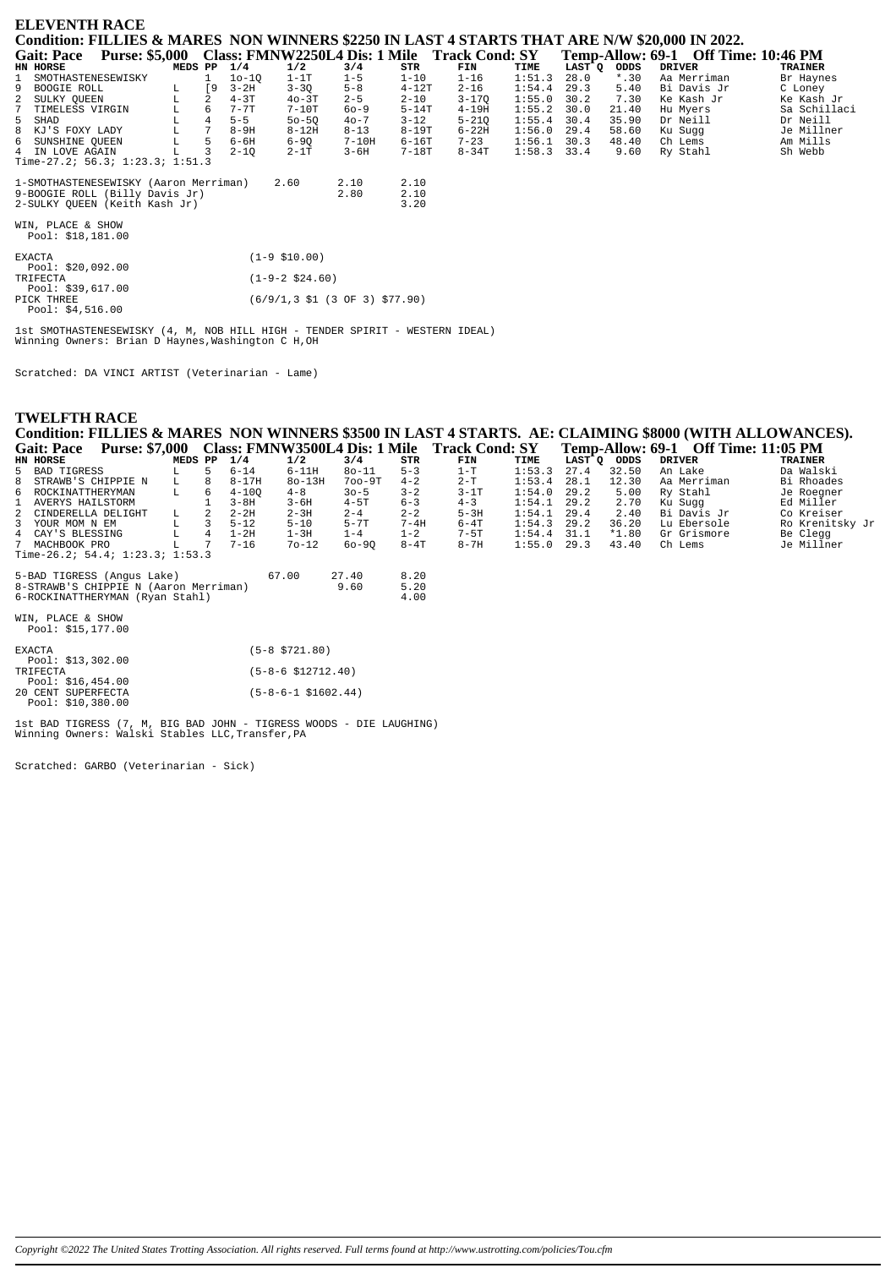| <b>ELEVENTH RACE</b>                                                                          |                                                             |                |    |          |                    |                                                                              |           |           |        |                     |         |                                     |                |
|-----------------------------------------------------------------------------------------------|-------------------------------------------------------------|----------------|----|----------|--------------------|------------------------------------------------------------------------------|-----------|-----------|--------|---------------------|---------|-------------------------------------|----------------|
| Condition: FILLIES & MARES NON WINNERS \$2250 IN LAST 4 STARTS THAT ARE N/W \$20,000 IN 2022. |                                                             |                |    |          |                    |                                                                              |           |           |        |                     |         |                                     |                |
| <b>Gait: Pace</b>                                                                             | Purse: \$5,000 Class: FMNW2250L4 Dis: 1 Mile Track Cond: SY |                |    |          |                    |                                                                              |           |           |        |                     |         | Temp-Allow: 69-1 Off Time: 10:46 PM |                |
| HN HORSE                                                                                      |                                                             | MEDS PP        |    | 1/4      | 1/2                | 3/4                                                                          | STR       | FIN       | TIME   | LAST <sup>-</sup> Q | ODDS    | <b>DRIVER</b>                       | <b>TRAINER</b> |
| SMOTHASTENESEWISKY                                                                            |                                                             |                |    | $10-10$  | $1-1T$             | $1 - 5$                                                                      | $1 - 10$  | $1 - 16$  | 1:51.3 | 28.0                | $*$ .30 | Aa Merriman                         | Br Haynes      |
| 9<br>BOOGIE ROLL                                                                              | L.                                                          |                | [9 | $3 - 2H$ | $3 - 30$           | $5 - 8$                                                                      | $4 - 12T$ | $2 - 16$  | 1:54.4 | 29.3                | 5.40    | Bi Davis Jr                         | C Loney        |
| 2<br>SULKY OUEEN                                                                              | L                                                           | 2              |    | $4 - 3T$ | $40-3T$            | $2 - 5$                                                                      | $2 - 10$  | $3 - 17Q$ | 1:55.0 | 30.2                | 7.30    | Ke Kash Jr                          | Ke Kash Jr     |
| $7^{\circ}$<br>TIMELESS VIRGIN                                                                |                                                             | 6              |    | $7 - 7T$ | $7-10T$            | $60 - 9$                                                                     | $5-14T$   | $4 - 19H$ | 1:55.2 | 30.0                | 21.40   | Hu Myers                            | Sa Schillaci   |
| 5 SHAD                                                                                        |                                                             |                |    | $5 - 5$  | $50 - 50$          | $40 - 7$                                                                     | $3 - 12$  | $5 - 21Q$ | 1:55.4 | 30.4                | 35.90   | Dr Neill                            | Dr Neill       |
| 8 KJ'S FOXY LADY                                                                              | $\mathbb L$                                                 | $\overline{7}$ |    | $8-9H$   | $8-12H$            | $8 - 13$                                                                     | $8 - 19T$ | $6-22H$   | 1:56.0 | 29.4                | 58.60   | Ku Sugg                             | Je Millner     |
| 6<br>SUNSHINE QUEEN                                                                           | $\mathbf{L}$                                                | 5              |    | $6-6H$   | $6-9Q$             | $7-10H$                                                                      | $6 - 16T$ | $7 - 23$  | 1:56.1 | 30.3                | 48.40   | Ch Lems                             | Am Mills       |
| 4 IN LOVE AGAIN                                                                               |                                                             | 3              |    | $2 - 10$ | $2-1T$             | $3 - 6H$                                                                     | $7 - 18T$ | $8 - 34T$ | 1:58.3 | 33.4                | 9.60    | Ry Stahl                            | Sh Webb        |
| Time-27.2; $56.3; 1:23.3; 1:51.3$                                                             |                                                             |                |    |          |                    |                                                                              |           |           |        |                     |         |                                     |                |
|                                                                                               |                                                             |                |    |          |                    |                                                                              |           |           |        |                     |         |                                     |                |
| 1-SMOTHASTENESEWISKY (Aaron Merriman)                                                         |                                                             |                |    |          | 2.60               | 2.10                                                                         | 2.10      |           |        |                     |         |                                     |                |
| 9-BOOGIE ROLL (Billy Davis Jr)                                                                |                                                             |                |    |          |                    | 2.80                                                                         | 2.10      |           |        |                     |         |                                     |                |
| 2-SULKY OUEEN (Keith Kash Jr)                                                                 |                                                             |                |    |          |                    |                                                                              | 3.20      |           |        |                     |         |                                     |                |
|                                                                                               |                                                             |                |    |          |                    |                                                                              |           |           |        |                     |         |                                     |                |
| WIN, PLACE & SHOW                                                                             |                                                             |                |    |          |                    |                                                                              |           |           |        |                     |         |                                     |                |
| Pool: \$18,181.00                                                                             |                                                             |                |    |          |                    |                                                                              |           |           |        |                     |         |                                     |                |
|                                                                                               |                                                             |                |    |          |                    |                                                                              |           |           |        |                     |         |                                     |                |
| <b>EXACTA</b>                                                                                 |                                                             |                |    |          | $(1-9 \ $10.00)$   |                                                                              |           |           |        |                     |         |                                     |                |
| Pool: $$20,092.00$                                                                            |                                                             |                |    |          |                    |                                                                              |           |           |        |                     |         |                                     |                |
| TRIFECTA                                                                                      |                                                             |                |    |          | $(1-9-2 \ $24.60)$ |                                                                              |           |           |        |                     |         |                                     |                |
| Pool: $$39,617.00$                                                                            |                                                             |                |    |          |                    |                                                                              |           |           |        |                     |         |                                     |                |
| PICK THREE                                                                                    |                                                             |                |    |          |                    | $(6/9/1, 3 \text{ } 51 \text{ } (3 \text{ } 0F \text{ } 3) \text{ } $77.90)$ |           |           |        |                     |         |                                     |                |
| Pool: $$4,516.00$                                                                             |                                                             |                |    |          |                    |                                                                              |           |           |        |                     |         |                                     |                |
|                                                                                               |                                                             |                |    |          |                    |                                                                              |           |           |        |                     |         |                                     |                |
| 1st SMOTHASTENESEWISKY (4, M, NOB HILL HIGH - TENDER SPIRIT - WESTERN IDEAL)                  |                                                             |                |    |          |                    |                                                                              |           |           |        |                     |         |                                     |                |
| Winning Owners: Brian D Haynes, Washington C H, OH                                            |                                                             |                |    |          |                    |                                                                              |           |           |        |                     |         |                                     |                |

Scratched: DA VINCI ARTIST (Veterinarian - Lame)

### **TWELFTH RACE**

Condition: FILLIES & MARES NON WINNERS \$3500 IN LAST 4 STARTS. AE: CLAIMING \$8000 (WITH ALLOWANCES).<br>Gait: Pace Purse: \$7,000 Class: FMNW3500L4 Dis: 1 Mile Track Cond: SY Temp-Allow: 69-1 Off Time: 11:05 PM

| HN HORSE                             | MEDS PP | 1/4       | 1/2      | 3/4        | STR      | FIN      | TIME          | LAST O | <b>ODDS</b> | DRIVER      | <b>TRAINER</b>  |
|--------------------------------------|---------|-----------|----------|------------|----------|----------|---------------|--------|-------------|-------------|-----------------|
| 5 BAD TIGRESS                        |         | $6 - 14$  | $6-11H$  | $80 - 11$  | $5 - 3$  | $1-T$    | 1:53.3        | 27.4   | 32.50       | An Lake     | Da Walski       |
| 8 STRAWB'S CHIPPIE N                 |         | $8 - 17H$ | $80-13H$ | $700 - 9T$ | $4 - 2$  | $2-T$    | 1:53.4        | 28.1   | 12.30       | Aa Merriman | Bi Rhoades      |
| 6 ROCKINATTHERYMAN                   |         | $4 - 100$ | $4 - 8$  | $30 - 5$   | $3 - 2$  | $3-1T$   | 1:54.0        | 29.2   | 5.00        | Rv Stahl    | Je Roegner      |
| 1 AVERYS HAILSTORM                   |         | $3 - 8H$  | 3-6H     | $4-5T$     | $6 - 3$  | $4 - 3$  | $1:54.1$ 29.2 |        | 2.70        | Ku Suqq     | Ed Miller       |
| 2 CINDERELLA DELIGHT                 |         | $2 - 2H$  | $2 - 3H$ | $2 - 4$    | $2 - 2$  | $5-3H$   | 1:54.1        | 29.4   | 2.40        | Bi Davis Jr | Co Kreiser      |
| 3 YOUR MOM N EM                      |         | $5 - 12$  | $5 - 10$ | $5 - 7T$   | $7 - 4H$ | $6-4T$   | 1:54.3        | 29.2   | 36.20       | Lu Ebersole | Ro Krenitsky Jr |
| 4 CAY'S BLESSING                     |         | 1-2H      | 1 – 3H   | 1-4        | $1 - 2$  | 7-5T     | 1:54.4        | 31.1   | $*1.80$     | Gr Grismore | Be Clegg        |
| 7 MACHBOOK PRO                       |         | $7 - 16$  | 70-12    | $60 - 90$  | $8 - 4T$ | $8 - 7H$ | 1:55.0        | 29.3   | 43.40       | Ch Lems     | Je Millner      |
| Time-26.2; 54.4; $1:23.3$ ; $1:53.3$ |         |           |          |            |          |          |               |        |             |             |                 |

| 5-BAD TIGRESS (Angus Lake)            | 67.00 | 27.40 | 8.20 |
|---------------------------------------|-------|-------|------|
| 8-STRAWB'S CHIPPIE N (Aaron Merriman) |       | 9.60  | 5.20 |
| 6-ROCKINATTHERYMAN (Rvan Stahl)       |       |       | 4.00 |
|                                       |       |       |      |

WIN, PLACE & SHOW<br>Pool: \$15,177.00

| <b>EXACTA</b><br>Pool: \$13,302.00      | $(5-8 \space $721.80)$         |
|-----------------------------------------|--------------------------------|
| TRIFECTA<br>Pool: $$16,454.00$          | $(5 - 8 - 6 \ $12712.40)$      |
| 20 CENT SUPERFECTA<br>Pool: \$10,380.00 | $(5-8-6-1 \; \text{S}1602.44)$ |

lst BAD TIGRESS (7, M, BIG BAD JOHN - TIGRESS WOODS - DIE LAUGHING)<br>Winning Owners: Walski Stables LLC, Transfer, PA

Scratched: GARBO (Veterinarian - Sick)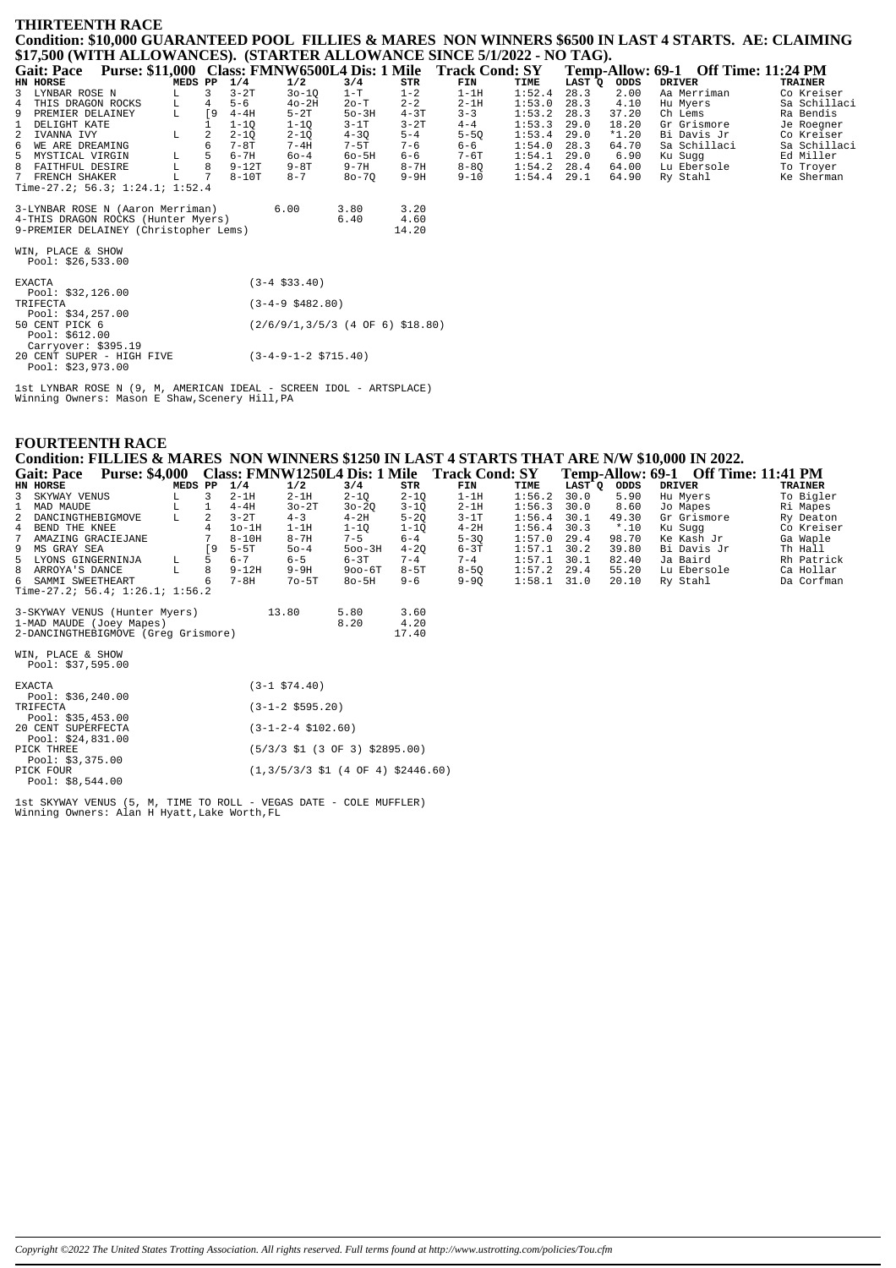# **THIRTEENTH RACE** Condition: \$10,000 GUARANTEED POOL FILLIES & MARES NON WINNERS \$6500 IN LAST 4 STARTS. AE: CLAIMING \$17,500 (WITH ALLOWANCES). (STARTER ALLOWANCE SINCE 5/1/2022 - NO TAG).

| <b>Gait: Pace</b><br><b>Purse: \$11,000</b> |         |           |           |                     | Class: FMNW6500L4 Dis: 1 Mile    |          | <b>Track Cond: SY</b> |        |        |         | Temp-Allow: 69-1 Off Time: 11:24 PM |                |
|---------------------------------------------|---------|-----------|-----------|---------------------|----------------------------------|----------|-----------------------|--------|--------|---------|-------------------------------------|----------------|
| HN HORSE                                    | MEDS PP |           | 1/4       | 1/2                 | 3/4                              | STR      | FIN                   | TIME   | LAST Q | ODDS    | <b>DRIVER</b>                       | <b>TRAINER</b> |
| 3 LYNBAR ROSE N                             | L.      | 3         | $3-2T$    | $30 - 10$           | $1-T$                            | $1 - 2$  | $1-1H$                | 1:52.4 | 28.3   | 2.00    | Aa Merriman                         | Co Kreiser     |
| 4 THIS DRAGON ROCKS                         | L       | 4         | $5 - 6$   | $40-2H$             | $2o-T$                           | $2 - 2$  | $2-1H$                | 1:53.0 | 28.3   | 4.10    | Hu Myers                            | Sa Schillaci   |
| 9<br>PREMIER DELAINEY                       | L       | <b>19</b> | $4-4H$    | $5-2T$              | $50-3H$                          | $4 - 3T$ | $3 - 3$               | 1:53.2 | 28.3   | 37.20   | Ch Lems                             | Ra Bendis      |
| DELIGHT KATE<br>$\mathbf{1}$                |         |           | $1 - 10$  | $1 - 10$            | $3-1T$                           | $3-2T$   | $4 - 4$               | 1:53.3 | 29.0   | 18.20   | Gr Grismore                         | Je Roegner     |
| 2<br>IVANNA IVY                             | L       | 2         | $2 - 1Q$  | $2 - 1Q$            | $4 - 3Q$                         | $5 - 4$  | $5 - 50$              | 1:53.4 | 29.0   | $*1.20$ | Bi Davis Jr                         | Co Kreiser     |
| 6<br>WE ARE DREAMING                        |         | 6         | $7-8T$    | $7 - 4H$            | $7-5T$                           | $7 - 6$  | $6 - 6$               | 1:54.0 | 28.3   | 64.70   | Sa Schillaci                        | Sa Schillaci   |
| 5<br>MYSTICAL VIRGIN                        | L       |           | $6 - 7H$  | $60 - 4$            | $60 - 5H$                        | $6 - 6$  | $7-6T$                | 1:54.1 | 29.0   | 6.90    | Ku Suqq                             | Ed Miller      |
| 8 FAITHFUL DESIRE                           | L       | 8         | $9 - 12T$ | $9 - 8T$            | $9 - 7H$                         | $8 - 7H$ | $8 - 80$              | 1:54.2 | 28.4   | 64.00   | Lu Ebersole                         | To Troyer      |
| 7 FRENCH SHAKER                             | L       |           | $8-10T$   | $8 - 7$             | $80 - 70$                        | $9-9H$   | $9 - 10$              | 1:54.4 | 29.1   | 64.90   | Ry Stahl                            | Ke Sherman     |
| Time-27.2; 56.3; 1:24.1; 1:52.4             |         |           |           |                     |                                  |          |                       |        |        |         |                                     |                |
| 3-LYNBAR ROSE N (Aaron Merriman)            |         |           |           | 6.00                | 3.80                             | 3.20     |                       |        |        |         |                                     |                |
| 4-THIS DRAGON ROCKS (Hunter Myers)          |         |           |           |                     | 6.40                             | 4.60     |                       |        |        |         |                                     |                |
| 9-PREMIER DELAINEY (Christopher Lems)       |         |           |           |                     |                                  | 14.20    |                       |        |        |         |                                     |                |
| WIN, PLACE & SHOW<br>Pool: $$26,533.00$     |         |           |           |                     |                                  |          |                       |        |        |         |                                     |                |
| <b>EXACTA</b><br>Pool: $$32,126.00$         |         |           |           | $(3-4 \; $33.40)$   |                                  |          |                       |        |        |         |                                     |                |
| TRIFECTA<br>Pool: $$34,257.00$              |         |           |           | $(3-4-9 \ $482.80)$ |                                  |          |                       |        |        |         |                                     |                |
| 50 CENT PICK 6                              |         |           |           |                     | (2/6/9/1,3/5/3 (4 OF 6) \$18.80) |          |                       |        |        |         |                                     |                |

50 CENT PICK 6<br>
Pool: \$612.00<br>
Carryover: \$395.19<br>
20 CENT SUPER - HIGH FIVE<br>
Pool: \$23,973.00

 ${\tt{lst}}$  LYNBAR ROSE N (9, M, AMERICAN IDEAL - SCREEN IDOL - ARTSPLACE) Winning Owners: Mason E Shaw, Scenery Hill, PA

 $(3-4-9-1-2 \ \text{$715.40})$ 

## **FOURTEENTH RACE**

# Condition: FILLIES & MARES NON WINNERS \$1250 IN LAST 4 STARTS THAT ARE N/W \$10,000 IN 2022.

| Condition, FILLIED & MARLD TOR WIRRERS \$1250 IN LADT TOTARTD THAT ARE IV W \$10,000 IN 2022, |         |     |           |           |            |          |                                              |               |        |         |                                            |                |
|-----------------------------------------------------------------------------------------------|---------|-----|-----------|-----------|------------|----------|----------------------------------------------|---------------|--------|---------|--------------------------------------------|----------------|
| <b>Purse: \$4,000</b><br><b>Gait: Pace</b>                                                    |         |     |           |           |            |          | Class: FMNW1250L4 Dis: 1 Mile Track Cond: SY |               |        |         | <b>Temp-Allow: 69-1 Off Time: 11:41 PM</b> |                |
| HN HORSE                                                                                      | MEDS PP |     | 1/4       | 1/2       | 3/4        | STR      | FIN                                          | TIME          | LAST Q | ODDS    | <b>DRIVER</b>                              | <b>TRAINER</b> |
| 3 SKYWAY VENUS                                                                                |         |     | $2-1H$    | $2-1H$    | $2 - 10$   | $2 - 10$ | $1-1H$                                       | $1:56.2$ 30.0 |        | 5.90    | Hu Mvers                                   | To Bigler      |
| 1 MAD MAUDE                                                                                   |         |     | $4-4H$    | $30-2T$   | $30 - 20$  | 3-10     | $2-1H$                                       | $1:56.3$ 30.0 |        | 8.60    | Jo Mapes                                   | Ri Mapes       |
| 2 DANCINGTHEBIGMOVE                                                                           | L       |     | $3-2T$    | $4 - 3$   | $4-2H$     | $5 - 20$ | $3-1T$                                       | $1:56.4$ 30.1 |        | 49.30   | Gr Grismore                                | Ry Deaton      |
| 4 BEND THE KNEE                                                                               |         |     | $10-1H$   | $1-1H$    | $1 - 10$   | $1 - 10$ | $4-2H$                                       | $1:56.4$ 30.3 |        | $*$ .10 | Ku Sugg                                    | Co Kreiser     |
| 7 AMAZING GRACIEJANE                                                                          |         |     | $8 - 10H$ | $8 - 7H$  | $7 - 5$    | $6 - 4$  | $5 - 30$                                     | $1:57.0$ 29.4 |        | 98.70   | Ke Kash Jr                                 | Ga Waple       |
| 9 MS GRAY SEA                                                                                 |         | ſ9. | $5 - 5T$  | $50 - 4$  | $500 - 3H$ | $4 - 20$ | $6-3T$                                       | $1:57.1$ 30.2 |        | 39.80   | Bi Davis Jr                                | Th Hall        |
| 5 LYONS GINGERNINJA                                                                           | L       |     | $6 - 7$   | $6 - 5$   | $6 - 3T$   | $7 - 4$  | $7 - 4$                                      | $1:57.1$ 30.1 |        | 82.40   | Ja Baird                                   | Rh Patrick     |
| 8 ARROYA'S DANCE                                                                              |         | 8   | $9 - 12H$ | $9-9H$    | $900 - 6T$ | $8-5T$   | $8 - 50$                                     | $1:57.2$ 29.4 |        | 55.20   | Lu Ebersole                                | Ca Hollar      |
| 6 SAMMI SWEETHEART                                                                            |         | 6   | $7 - 8H$  | $70 - 5T$ | $80 - 5H$  | $9 - 6$  | $9 - 90$                                     | $1:58.1$ 31.0 |        | 20.10   | Ry Stahl                                   | Da Corfman     |
| Time-27.2; 56.4; 1:26.1; 1:56.2                                                               |         |     |           |           |            |          |                                              |               |        |         |                                            |                |
|                                                                                               |         |     |           |           |            |          |                                              |               |        |         |                                            |                |

| 3-SKYWAY VENUS (Hunter Myers)       | 13.80 | 5.80 | 3.60  |
|-------------------------------------|-------|------|-------|
| 1-MAD MAUDE (Joev Mapes)            |       | 8.20 | 4.20  |
| 2-DANCINGTHEBIGMOVE (Grea Grismore) |       |      | 17.40 |
|                                     |       |      |       |

WIN, PLACE & SHOW<br>Pool: \$37,595.00

| <b>EXACTA</b><br>Pool: $$36, 240.00$     | $(3-1 \, \text{S74.40})$                                                    |
|------------------------------------------|-----------------------------------------------------------------------------|
| TRIFECTA                                 | $(3-1-2 \; $595.20)$                                                        |
| Pool: $$35,453.00$<br>20 CENT SUPERFECTA | $(3-1-2-4 \text{ } $102.60)$                                                |
| Pool: $$24.831.00$<br>PICK THREE         | $(5/3/3 \text{ } 51 \text{ } (3 \text{ } 0F \text{ } 3) \text{ } $2895.00)$ |
| Pool: \$3,375.00<br>PICK FOUR            | $(1,3/5/3/3 \text{ } 51 (4 \text{ } 0F 4) \text{ } $2446.60)$               |
| Pool: \$8,544.00                         |                                                                             |

1st SKYWAY VENUS (5, M, TIME TO ROLL - VEGAS DATE - COLE MUFFLER)<br>Winning Owners: Alan H Hyatt, Lake Worth, FL